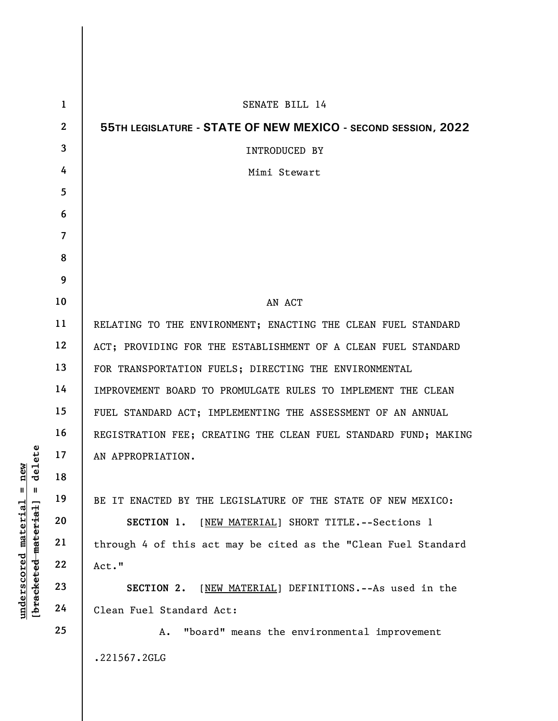|                                                         | $\mathbf{1}$   | SENATE BILL 14                                                  |
|---------------------------------------------------------|----------------|-----------------------------------------------------------------|
|                                                         | $\overline{2}$ | 55TH LEGISLATURE - STATE OF NEW MEXICO - SECOND SESSION, 2022   |
|                                                         | 3              | <b>INTRODUCED BY</b>                                            |
|                                                         | 4              | Mimi Stewart                                                    |
|                                                         | 5              |                                                                 |
|                                                         | 6              |                                                                 |
|                                                         | $\overline{7}$ |                                                                 |
|                                                         | 8              |                                                                 |
|                                                         | 9              |                                                                 |
|                                                         | 10             | AN ACT                                                          |
|                                                         | 11             | RELATING TO THE ENVIRONMENT; ENACTING THE CLEAN FUEL STANDARD   |
|                                                         | 12             | ACT; PROVIDING FOR THE ESTABLISHMENT OF A CLEAN FUEL STANDARD   |
|                                                         | 13             | FOR TRANSPORTATION FUELS; DIRECTING THE ENVIRONMENTAL           |
|                                                         | 14             | IMPROVEMENT BOARD TO PROMULGATE RULES TO IMPLEMENT THE CLEAN    |
|                                                         | 15             | FUEL STANDARD ACT; IMPLEMENTING THE ASSESSMENT OF AN ANNUAL     |
|                                                         | 16             | REGISTRATION FEE; CREATING THE CLEAN FUEL STANDARD FUND; MAKING |
| delete                                                  | 17             | AN APPROPRIATION.                                               |
| $n$ ew                                                  | 18             |                                                                 |
| H<br>Ш                                                  | 19             | BE IT ENACTED BY THE LEGISLATURE OF THE STATE OF NEW MEXICO:    |
|                                                         | 20             | [NEW MATERIAL] SHORT TITLE.--Sections 1<br>SECTION 1.           |
|                                                         | 21             | through 4 of this act may be cited as the "Clean Fuel Standard  |
|                                                         | 22             | Act."                                                           |
| underscored material<br>[ <del>bracketed material</del> | 23             | [NEW MATERIAL] DEFINITIONS. -- As used in the<br>SECTION 2.     |
|                                                         | 24             | Clean Fuel Standard Act:                                        |
|                                                         | 25             | "board" means the environmental improvement<br>Α.               |
|                                                         |                | .221567.2GLG                                                    |

 $\mathbf{I}$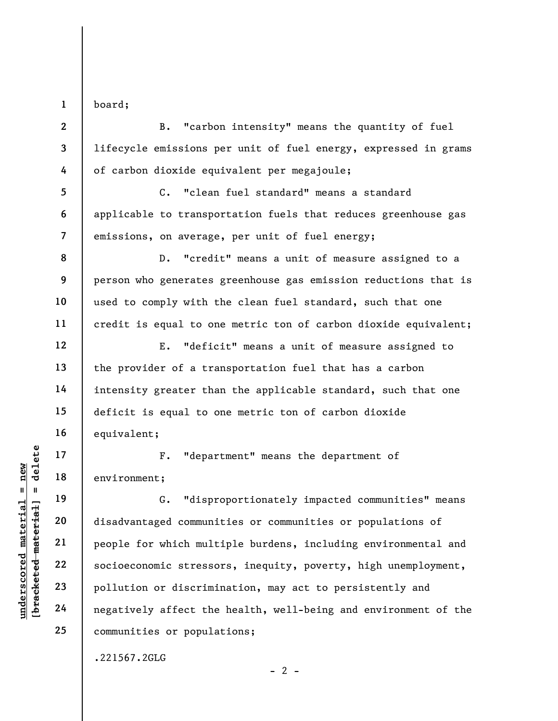1 board;

2

3

4

5

6

8

9

10

11

12

13

14

15

16

17

18

19

20

21

22

23

24

25

B. "carbon intensity" means the quantity of fuel lifecycle emissions per unit of fuel energy, expressed in grams of carbon dioxide equivalent per megajoule;

7 C. "clean fuel standard" means a standard applicable to transportation fuels that reduces greenhouse gas emissions, on average, per unit of fuel energy;

D. "credit" means a unit of measure assigned to a person who generates greenhouse gas emission reductions that is used to comply with the clean fuel standard, such that one credit is equal to one metric ton of carbon dioxide equivalent;

E. "deficit" means a unit of measure assigned to the provider of a transportation fuel that has a carbon intensity greater than the applicable standard, such that one deficit is equal to one metric ton of carbon dioxide equivalent;

F. "department" means the department of environment;

underscore material material environment;<br>  $\begin{array}{c|c} \n\text{Equation: } & \text{Equation: } & \text{Equation: } \\ \n\text{Equation: } & \text{Equation: } & \text{Equation: } \\ \n\text{Equation: } & \text{Equation: } & \text{Equation: } \\ \n\text{Equation: } & \text{Equation: } & \text{Equation: } \\ \n\text{Equation: } & \text{Equation: } & \text{Equation: } \\ \n\text{Equation: } & \text{Equation: } & \text{Equation: } \\ \n\text{Equation: } & \text{$ G. "disproportionately impacted communities" means disadvantaged communities or communities or populations of people for which multiple burdens, including environmental and socioeconomic stressors, inequity, poverty, high unemployment, pollution or discrimination, may act to persistently and negatively affect the health, well-being and environment of the communities or populations;

 $- 2 -$ 

.221567.2GLG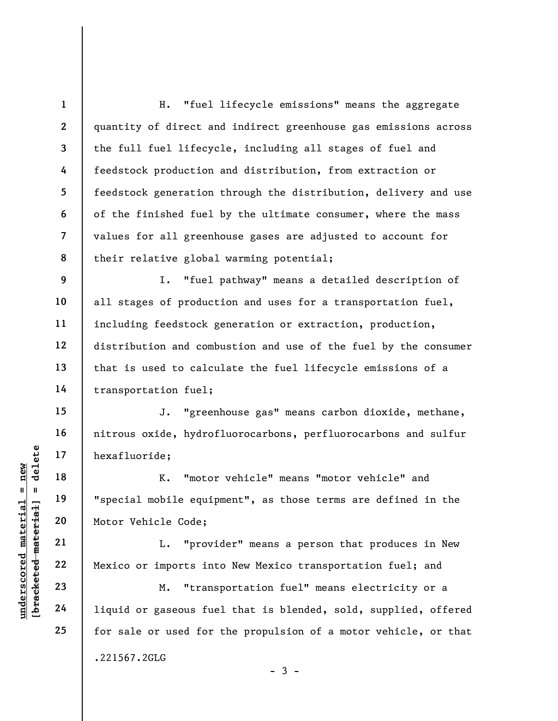1 2 3 4 5 6 7 8 9 10 11 12 13 H. "fuel lifecycle emissions" means the aggregate quantity of direct and indirect greenhouse gas emissions across the full fuel lifecycle, including all stages of fuel and feedstock production and distribution, from extraction or feedstock generation through the distribution, delivery and use of the finished fuel by the ultimate consumer, where the mass values for all greenhouse gases are adjusted to account for their relative global warming potential; I. "fuel pathway" means a detailed description of all stages of production and uses for a transportation fuel, including feedstock generation or extraction, production, distribution and combustion and use of the fuel by the consumer that is used to calculate the fuel lifecycle emissions of a

transportation fuel;

J. "greenhouse gas" means carbon dioxide, methane, nitrous oxide, hydrofluorocarbons, perfluorocarbons and sulfur hexafluoride;

underscore material material material material material material material material material material material material material material material material material material material material material material material mate K. "motor vehicle" means "motor vehicle" and "special mobile equipment", as those terms are defined in the Motor Vehicle Code;

L. "provider" means a person that produces in New Mexico or imports into New Mexico transportation fuel; and

M. "transportation fuel" means electricity or a liquid or gaseous fuel that is blended, sold, supplied, offered for sale or used for the propulsion of a motor vehicle, or that .221567.2GLG

 $-3 -$ 

14

15

16

17

18

19

20

21

22

23

24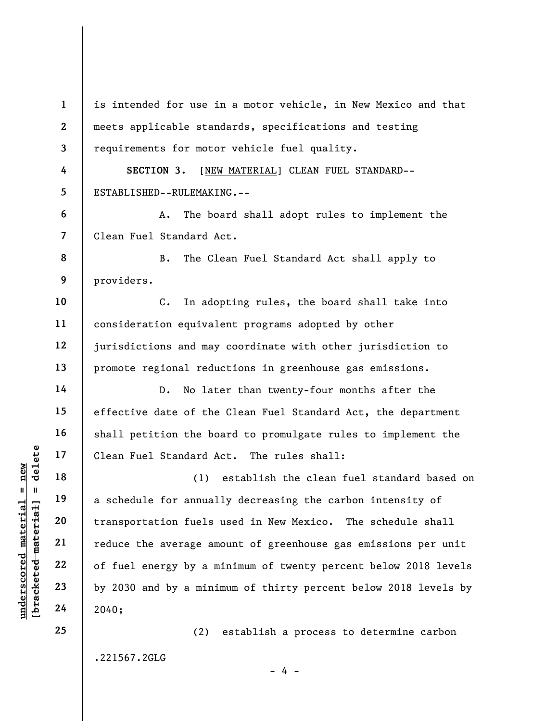|                     | $\mathbf{1}$                 | is intended for use in a motor vehicle, in New Mexico and that  |
|---------------------|------------------------------|-----------------------------------------------------------------|
|                     | $\overline{2}$               | meets applicable standards, specifications and testing          |
|                     | $\overline{\mathbf{3}}$<br>4 | requirements for motor vehicle fuel quality.                    |
|                     |                              | SECTION 3.<br>[NEW MATERIAL] CLEAN FUEL STANDARD--              |
|                     | 5                            | ESTABLISHED--RULEMAKING.--                                      |
|                     | 6                            | The board shall adopt rules to implement the<br>Α.              |
|                     | $\overline{7}$               | Clean Fuel Standard Act.                                        |
|                     | 8                            | The Clean Fuel Standard Act shall apply to<br><b>B</b> .        |
|                     | 9                            | providers.                                                      |
|                     | 10                           | $C$ .<br>In adopting rules, the board shall take into           |
|                     | 11                           | consideration equivalent programs adopted by other              |
|                     | 12                           | jurisdictions and may coordinate with other jurisdiction to     |
|                     | 13                           | promote regional reductions in greenhouse gas emissions.        |
|                     | 14                           | No later than twenty-four months after the<br>$D$ .             |
|                     | 15                           | effective date of the Clean Fuel Standard Act, the department   |
|                     | 16                           | shall petition the board to promulgate rules to implement the   |
| delete              | 17                           | Clean Fuel Standard Act. The rules shall:                       |
| new                 | 18                           | establish the clean fuel standard based on<br>(1)               |
| 11<br>Ш             | 19                           | a schedule for annually decreasing the carbon intensity of      |
| material            | 20                           | transportation fuels used in New Mexico.<br>The schedule shall  |
| [bracketed material | 21                           | reduce the average amount of greenhouse gas emissions per unit  |
| underscored         | 22                           | of fuel energy by a minimum of twenty percent below 2018 levels |
|                     | 23                           | by 2030 and by a minimum of thirty percent below 2018 levels by |
|                     | 24                           | 2040;                                                           |
|                     | 25                           | establish a process to determine carbon<br>(2)                  |
|                     |                              | .221567.2GLG                                                    |

 $- 4 -$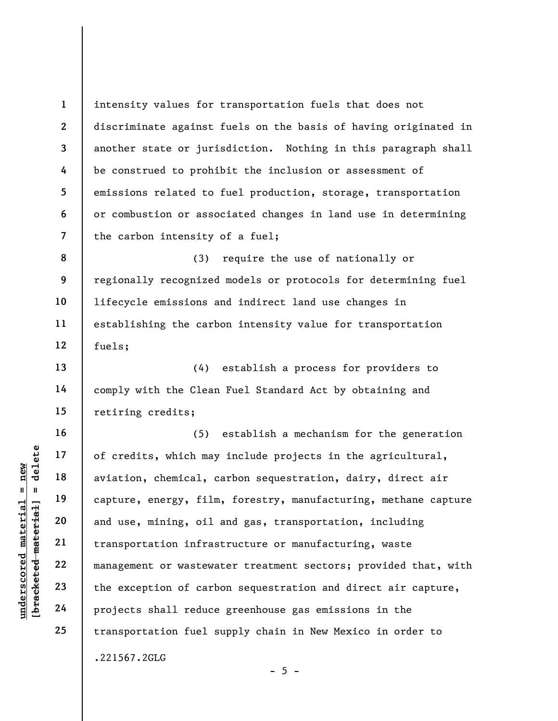1 2 3 4 5 6 7 intensity values for transportation fuels that does not discriminate against fuels on the basis of having originated in another state or jurisdiction. Nothing in this paragraph shall be construed to prohibit the inclusion or assessment of emissions related to fuel production, storage, transportation or combustion or associated changes in land use in determining the carbon intensity of a fuel;

8 9 10 11 12 (3) require the use of nationally or regionally recognized models or protocols for determining fuel lifecycle emissions and indirect land use changes in establishing the carbon intensity value for transportation fuels;

(4) establish a process for providers to comply with the Clean Fuel Standard Act by obtaining and retiring credits;

underscored material = new [bracketed material] = delete (5) establish a mechanism for the generation of credits, which may include projects in the agricultural, aviation, chemical, carbon sequestration, dairy, direct air capture, energy, film, forestry, manufacturing, methane capture and use, mining, oil and gas, transportation, including transportation infrastructure or manufacturing, waste management or wastewater treatment sectors; provided that, with the exception of carbon sequestration and direct air capture, projects shall reduce greenhouse gas emissions in the transportation fuel supply chain in New Mexico in order to .221567.2GLG

13

14

15

16

17

18

19

20

21

22

23

24

25

 $- 5 -$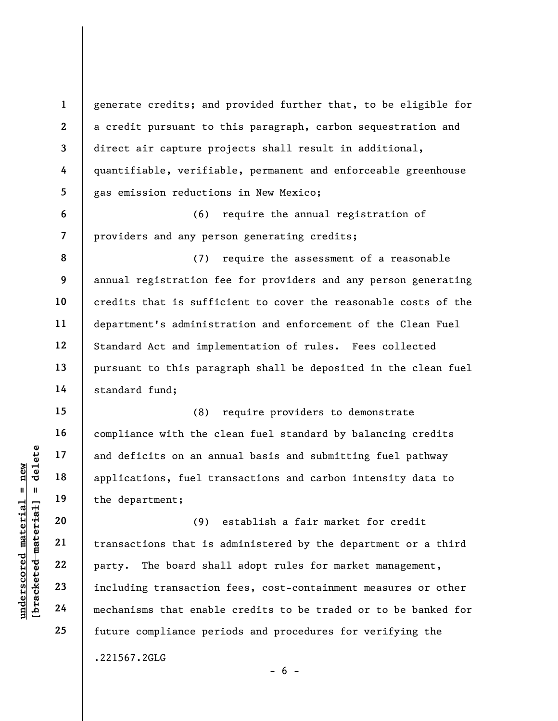generate credits; and provided further that, to be eligible for a credit pursuant to this paragraph, carbon sequestration and direct air capture projects shall result in additional, quantifiable, verifiable, permanent and enforceable greenhouse gas emission reductions in New Mexico;

(6) require the annual registration of providers and any person generating credits;

(7) require the assessment of a reasonable annual registration fee for providers and any person generating credits that is sufficient to cover the reasonable costs of the department's administration and enforcement of the Clean Fuel Standard Act and implementation of rules. Fees collected pursuant to this paragraph shall be deposited in the clean fuel standard fund;

(8) require providers to demonstrate compliance with the clean fuel standard by balancing credits and deficits on an annual basis and submitting fuel pathway applications, fuel transactions and carbon intensity data to the department;

understand material and deficits on an and<br>
applications, fuel transplaned the department;<br>  $20$ <br>  $21$ <br>  $22$ <br>  $23$ <br>  $24$ <br>  $25$ <br>  $26$ <br>  $27$ <br>  $28$ <br>  $29$ <br>  $20$ <br>  $21$ <br>  $22$ <br>  $23$ <br>  $24$ <br>  $25$ <br>  $26$ <br>  $27$ <br>  $28$ <br>  $29$ <br>  $20$ <br>  $21$ (9) establish a fair market for credit transactions that is administered by the department or a third party. The board shall adopt rules for market management, including transaction fees, cost-containment measures or other mechanisms that enable credits to be traded or to be banked for future compliance periods and procedures for verifying the .221567.2GLG

 $- 6 -$ 

1

2

3

4

5

6

7

8

9

10

11

12

13

14

15

16

17

18

19

20

21

22

23

24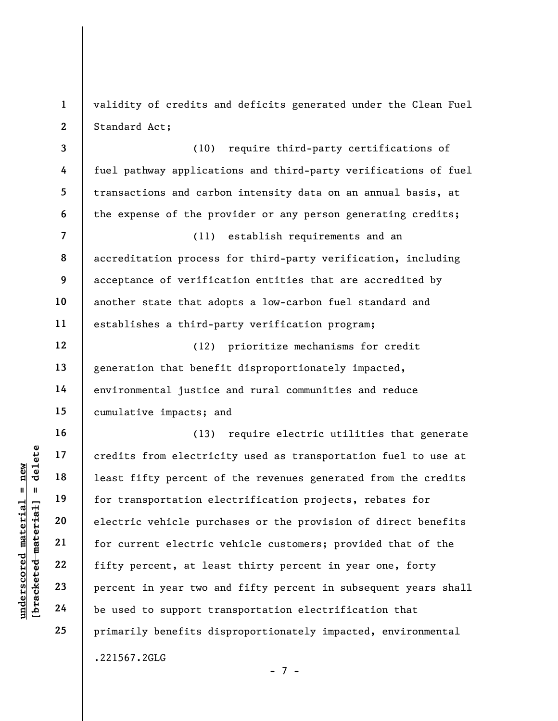1 2 validity of credits and deficits generated under the Clean Fuel Standard Act;

3 4 5 6 (10) require third-party certifications of fuel pathway applications and third-party verifications of fuel transactions and carbon intensity data on an annual basis, at the expense of the provider or any person generating credits;

7 8 9 10 11 (11) establish requirements and an accreditation process for third-party verification, including acceptance of verification entities that are accredited by another state that adopts a low-carbon fuel standard and establishes a third-party verification program;

12 13 14 15 (12) prioritize mechanisms for credit generation that benefit disproportionately impacted, environmental justice and rural communities and reduce cumulative impacts; and

understand material strategy of the set of the set of the set of the set of the set of the set of the set of the set of the set of the set of the set of the set of the set of the set of the set of the set of the set of the (13) require electric utilities that generate credits from electricity used as transportation fuel to use at least fifty percent of the revenues generated from the credits for transportation electrification projects, rebates for electric vehicle purchases or the provision of direct benefits for current electric vehicle customers; provided that of the fifty percent, at least thirty percent in year one, forty percent in year two and fifty percent in subsequent years shall be used to support transportation electrification that primarily benefits disproportionately impacted, environmental .221567.2GLG

- 7 -

16

17

18

19

20

21

22

23

24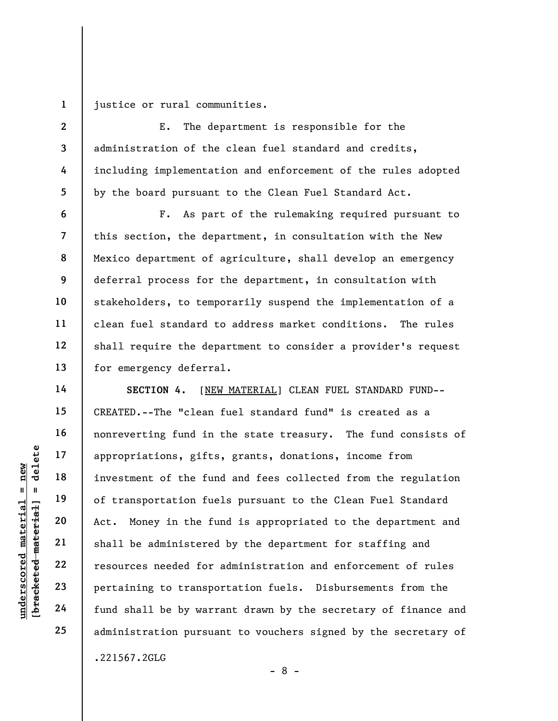1 justice or rural communities.

2

3

4

5

6

7

8

9

10

11

12

13

14

15

16

17

18

19

20

21

22

23

24

25

E. The department is responsible for the administration of the clean fuel standard and credits, including implementation and enforcement of the rules adopted by the board pursuant to the Clean Fuel Standard Act.

F. As part of the rulemaking required pursuant to this section, the department, in consultation with the New Mexico department of agriculture, shall develop an emergency deferral process for the department, in consultation with stakeholders, to temporarily suspend the implementation of a clean fuel standard to address market conditions. The rules shall require the department to consider a provider's request for emergency deferral.

underscored material = new [bracketed material] = delete SECTION 4. [NEW MATERIAL] CLEAN FUEL STANDARD FUND-- CREATED.--The "clean fuel standard fund" is created as a nonreverting fund in the state treasury. The fund consists of appropriations, gifts, grants, donations, income from investment of the fund and fees collected from the regulation of transportation fuels pursuant to the Clean Fuel Standard Act. Money in the fund is appropriated to the department and shall be administered by the department for staffing and resources needed for administration and enforcement of rules pertaining to transportation fuels. Disbursements from the fund shall be by warrant drawn by the secretary of finance and administration pursuant to vouchers signed by the secretary of .221567.2GLG

- 8 -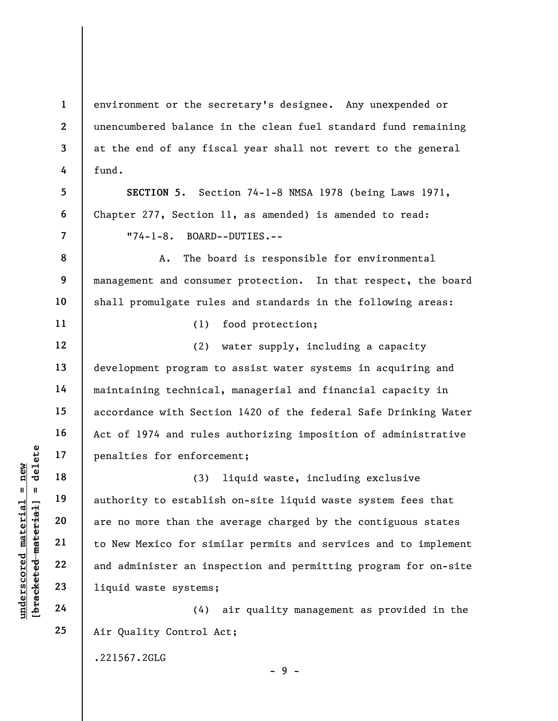environment or the secretary's designee. Any unexpended or unencumbered balance in the clean fuel standard fund remaining at the end of any fiscal year shall not revert to the general fund.

SECTION 5. Section 74-1-8 NMSA 1978 (being Laws 1971, Chapter 277, Section 11, as amended) is amended to read: "74-1-8. BOARD--DUTIES.--

A. The board is responsible for environmental management and consumer protection. In that respect, the board shall promulgate rules and standards in the following areas:

(1) food protection;

(2) water supply, including a capacity development program to assist water systems in acquiring and maintaining technical, managerial and financial capacity in accordance with Section 1420 of the federal Safe Drinking Water Act of 1974 and rules authorizing imposition of administrative penalties for enforcement;

understand material material end of the stablis are no more than the to New Mexico for simple and administer an ins and administer an ins and administer (4) (3) liquid waste, including exclusive authority to establish on-site liquid waste system fees that are no more than the average charged by the contiguous states to New Mexico for similar permits and services and to implement and administer an inspection and permitting program for on-site liquid waste systems;

(4) air quality management as provided in the Air Quality Control Act;

 $-9 -$ 

.221567.2GLG

1

2

3

4

5

6

7

8

9

10

11

12

13

14

15

16

17

18

19

20

21

22

23

24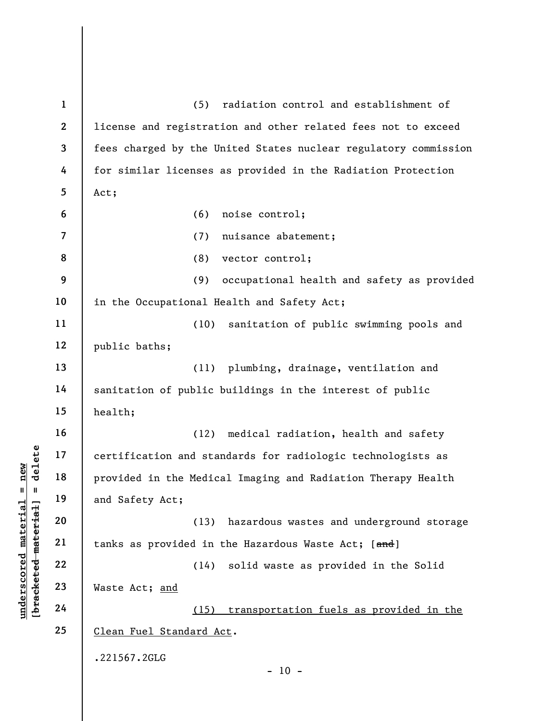underscored material = new [bracketed material] = delete 1 2 3 4 5 6 7 8 9 10 11 12 13 14 15 16 17 18 19 20 21 22 23 24 25 (5) radiation control and establishment of license and registration and other related fees not to exceed fees charged by the United States nuclear regulatory commission for similar licenses as provided in the Radiation Protection Act; (6) noise control; (7) nuisance abatement; (8) vector control; (9) occupational health and safety as provided in the Occupational Health and Safety Act; (10) sanitation of public swimming pools and public baths; (11) plumbing, drainage, ventilation and sanitation of public buildings in the interest of public health; (12) medical radiation, health and safety certification and standards for radiologic technologists as provided in the Medical Imaging and Radiation Therapy Health and Safety Act; (13) hazardous wastes and underground storage tanks as provided in the Hazardous Waste Act; [and] (14) solid waste as provided in the Solid Waste Act; and (15) transportation fuels as provided in the Clean Fuel Standard Act. .221567.2GLG  $- 10 -$